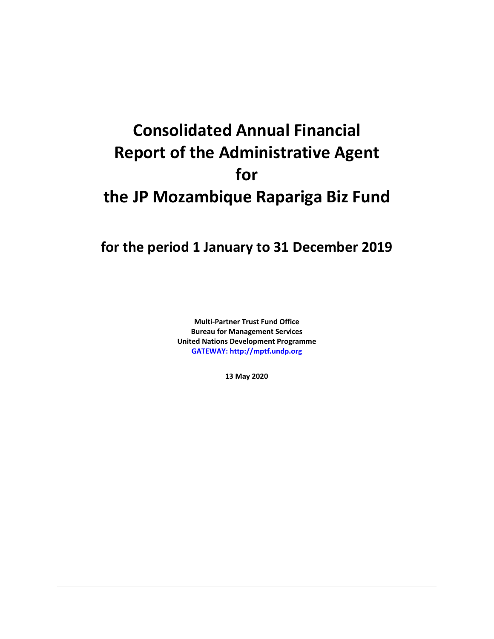# **Consolidated Annual Financial Report of the Administrative Agent for the JP Mozambique Rapariga Biz Fund**

## **for the period 1 January to 31 December 2019**

**Multi-Partner Trust Fund Office Bureau for Management Services United Nations Development Programme [GATEWAY: http://mptf.undp.org](http://mptf.undp.org/)**

**13 May 2020**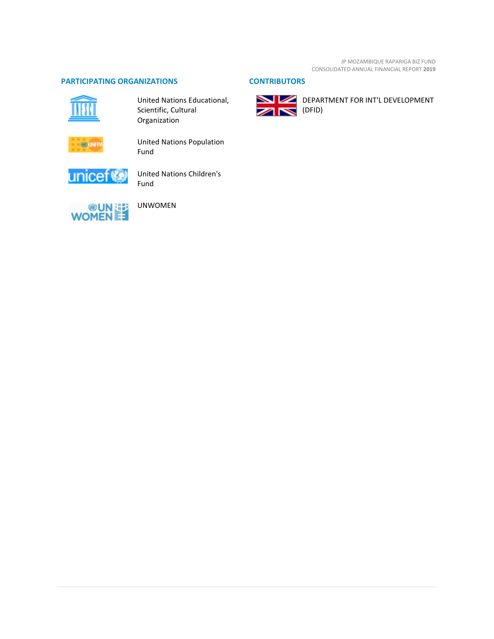#### **PARTICIPATING ORGANIZATIONS CONTRIBUTORS**



United Nations Educational, Scientific, Cultural Organization



United Nations Population Fund



United Nations Children's Fund



UNWOMEN



DEPARTMENT FOR INT'L DEVELOPMENT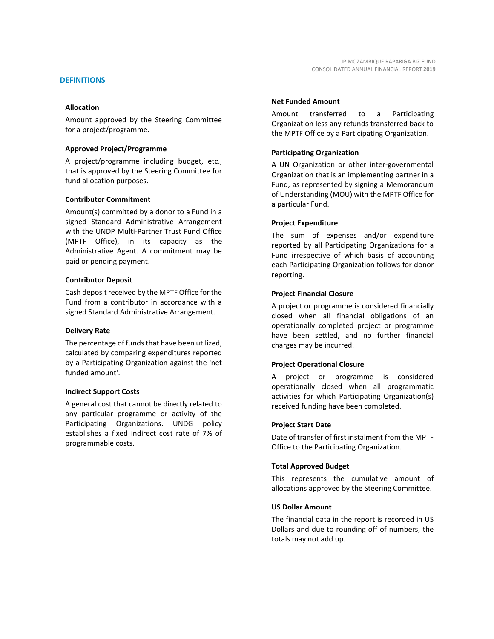#### **DEFINITIONS**

#### **Allocation**

Amount approved by the Steering Committee for a project/programme.

#### **Approved Project/Programme**

A project/programme including budget, etc., that is approved by the Steering Committee for fund allocation purposes.

#### **Contributor Commitment**

Amount(s) committed by a donor to a Fund in a signed Standard Administrative Arrangement with the UNDP Multi-Partner Trust Fund Office (MPTF Office), in its capacity as the Administrative Agent. A commitment may be paid or pending payment.

#### **Contributor Deposit**

Cash deposit received by the MPTF Office for the Fund from a contributor in accordance with a signed Standard Administrative Arrangement.

#### **Delivery Rate**

The percentage of funds that have been utilized, calculated by comparing expenditures reported by a Participating Organization against the 'net funded amount'.

#### **Indirect Support Costs**

A general cost that cannot be directly related to any particular programme or activity of the Participating Organizations. UNDG policy establishes a fixed indirect cost rate of 7% of programmable costs.

#### **Net Funded Amount**

Amount transferred to a Participating Organization less any refunds transferred back to the MPTF Office by a Participating Organization.

#### **Participating Organization**

A UN Organization or other inter-governmental Organization that is an implementing partner in a Fund, as represented by signing a Memorandum of Understanding (MOU) with the MPTF Office for a particular Fund.

#### **Project Expenditure**

The sum of expenses and/or expenditure reported by all Participating Organizations for a Fund irrespective of which basis of accounting each Participating Organization follows for donor reporting.

#### **Project Financial Closure**

A project or programme is considered financially closed when all financial obligations of an operationally completed project or programme have been settled, and no further financial charges may be incurred.

#### **Project Operational Closure**

A project or programme is considered operationally closed when all programmatic activities for which Participating Organization(s) received funding have been completed.

#### **Project Start Date**

Date of transfer of first instalment from the MPTF Office to the Participating Organization.

#### **Total Approved Budget**

This represents the cumulative amount of allocations approved by the Steering Committee.

#### **US Dollar Amount**

The financial data in the report is recorded in US Dollars and due to rounding off of numbers, the totals may not add up.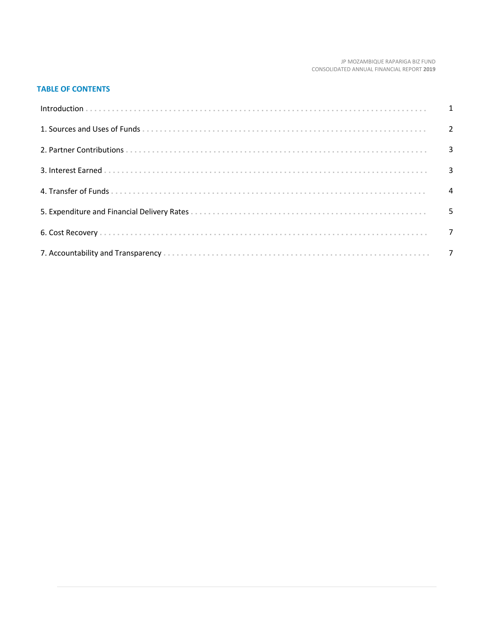#### JP MOZAMBIQUE RAPARIGA BIZ FUND CONSOLIDATED ANNUAL FINANCIAL REPORT **2019**

#### **TABLE OF CONTENTS**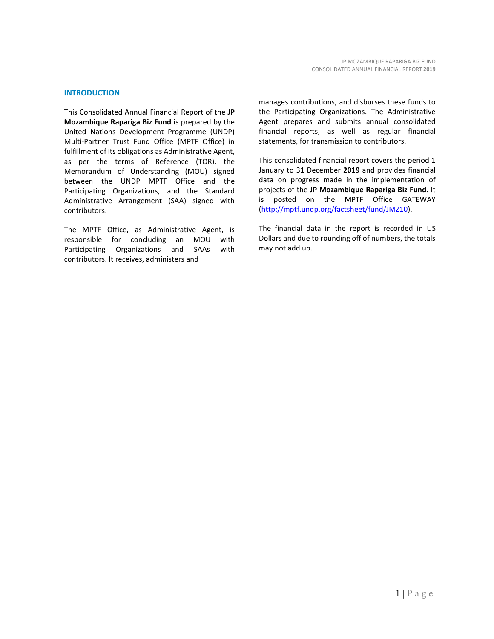#### **INTRODUCTION**

This Consolidated Annual Financial Report of the **JP Mozambique Rapariga Biz Fund** is prepared by the United Nations Development Programme (UNDP) Multi-Partner Trust Fund Office (MPTF Office) in fulfillment of its obligations as Administrative Agent, as per the terms of Reference (TOR), the Memorandum of Understanding (MOU) signed between the UNDP MPTF Office and the Participating Organizations, and the Standard Administrative Arrangement (SAA) signed with contributors.

The MPTF Office, as Administrative Agent, is responsible for concluding an MOU with Participating Organizations and SAAs with contributors. It receives, administers and

manages contributions, and disburses these funds to the Participating Organizations. The Administrative Agent prepares and submits annual consolidated financial reports, as well as regular financial statements, for transmission to contributors.

This consolidated financial report covers the period 1 January to 31 December **2019** and provides financial data on progress made in the implementation of projects of the **JP Mozambique Rapariga Biz Fund**. It is posted on the MPTF Office GATEWAY [\(http://mptf.undp.org/factsheet/fund/JMZ10\)](http://mptf.undp.org/factsheet/fund/JMZ10).

The financial data in the report is recorded in US Dollars and due to rounding off of numbers, the totals may not add up.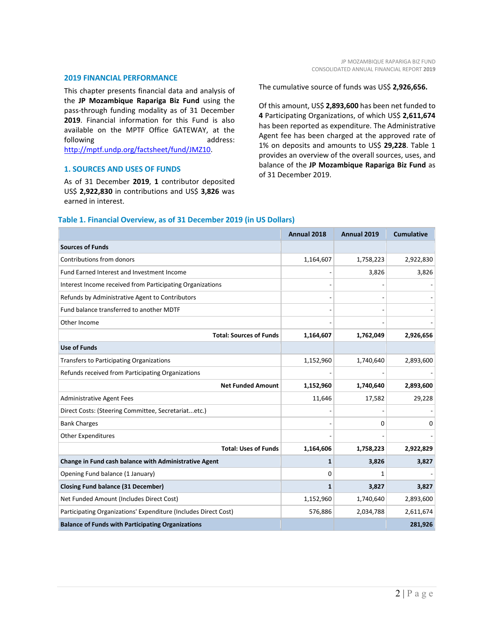#### **2019 FINANCIAL PERFORMANCE**

This chapter presents financial data and analysis of the **JP Mozambique Rapariga Biz Fund** using the pass-through funding modality as of 31 December **2019**. Financial information for this Fund is also available on the MPTF Office GATEWAY, at the following address: [http://mptf.undp.org/factsheet/fund/JMZ10.](http://mptf.undp.org/factsheet/fund/JMZ10)

#### **1. SOURCES AND USES OF FUNDS**

As of 31 December **2019**, **1** contributor deposited US\$ **2,922,830** in contributions and US\$ **3,826** was earned in interest.

The cumulative source of funds was US\$ **2,926,656.**

Of this amount, US\$ **2,893,600** has been net funded to **4** Participating Organizations, of which US\$ **2,611,674** has been reported as expenditure. The Administrative Agent fee has been charged at the approved rate of 1% on deposits and amounts to US\$ **29,228**. Table 1 provides an overview of the overall sources, uses, and balance of the **JP Mozambique Rapariga Biz Fund** as of 31 December 2019.

|                                                                 | Annual 2018  | Annual 2019 | <b>Cumulative</b> |
|-----------------------------------------------------------------|--------------|-------------|-------------------|
| <b>Sources of Funds</b>                                         |              |             |                   |
| Contributions from donors                                       | 1,164,607    | 1,758,223   | 2,922,830         |
| Fund Earned Interest and Investment Income                      |              | 3,826       | 3,826             |
| Interest Income received from Participating Organizations       |              |             |                   |
| Refunds by Administrative Agent to Contributors                 |              |             |                   |
| Fund balance transferred to another MDTF                        |              |             |                   |
| Other Income                                                    |              |             |                   |
| <b>Total: Sources of Funds</b>                                  | 1,164,607    | 1,762,049   | 2,926,656         |
| <b>Use of Funds</b>                                             |              |             |                   |
| Transfers to Participating Organizations                        | 1,152,960    | 1,740,640   | 2,893,600         |
| Refunds received from Participating Organizations               |              |             |                   |
| <b>Net Funded Amount</b>                                        | 1,152,960    | 1,740,640   | 2,893,600         |
| <b>Administrative Agent Fees</b>                                | 11,646       | 17,582      | 29,228            |
| Direct Costs: (Steering Committee, Secretariatetc.)             |              |             |                   |
| <b>Bank Charges</b>                                             |              | 0           | 0                 |
| <b>Other Expenditures</b>                                       |              |             |                   |
| <b>Total: Uses of Funds</b>                                     | 1,164,606    | 1,758,223   | 2,922,829         |
| Change in Fund cash balance with Administrative Agent           | $\mathbf{1}$ | 3,826       | 3,827             |
| Opening Fund balance (1 January)                                | 0            | 1           |                   |
| <b>Closing Fund balance (31 December)</b>                       | 1            | 3,827       | 3,827             |
| Net Funded Amount (Includes Direct Cost)                        | 1,152,960    | 1,740,640   | 2,893,600         |
| Participating Organizations' Expenditure (Includes Direct Cost) | 576,886      | 2,034,788   | 2,611,674         |
| <b>Balance of Funds with Participating Organizations</b>        |              |             | 281,926           |

#### **Table 1. Financial Overview, as of 31 December 2019 (in US Dollars)**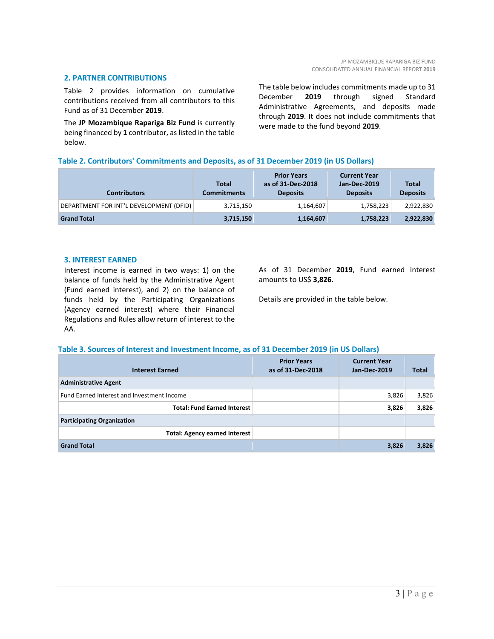#### **2. PARTNER CONTRIBUTIONS**

Table 2 provides information on cumulative contributions received from all contributors to this Fund as of 31 December **2019**.

The **JP Mozambique Rapariga Biz Fund** is currently being financed by **1** contributor, as listed in the table below.

The table below includes commitments made up to 31 December **2019** through signed Standard Administrative Agreements, and deposits made through **2019**. It does not include commitments that were made to the fund beyond **2019**.

#### **Table 2. Contributors' Commitments and Deposits, as of 31 December 2019 (in US Dollars)**

| <b>Contributors</b>                     | <b>Total</b><br><b>Commitments</b> | <b>Prior Years</b><br>as of 31-Dec-2018<br><b>Deposits</b> | <b>Current Year</b><br>Jan-Dec-2019<br><b>Deposits</b> | <b>Total</b><br><b>Deposits</b> |
|-----------------------------------------|------------------------------------|------------------------------------------------------------|--------------------------------------------------------|---------------------------------|
| DEPARTMENT FOR INT'L DEVELOPMENT (DFID) | 3,715,150                          | 1,164,607                                                  | 1,758,223                                              | 2,922,830                       |
| <b>Grand Total</b>                      | 3,715,150                          | 1,164,607                                                  | 1,758,223                                              | 2,922,830                       |

#### **3. INTEREST EARNED**

Interest income is earned in two ways: 1) on the balance of funds held by the Administrative Agent (Fund earned interest), and 2) on the balance of funds held by the Participating Organizations (Agency earned interest) where their Financial Regulations and Rules allow return of interest to the AA.

As of 31 December **2019**, Fund earned interest amounts to US\$ **3,826**.

Details are provided in the table below.

#### **Table 3. Sources of Interest and Investment Income, as of 31 December 2019 (in US Dollars)**

| <b>Interest Earned</b>                     | <b>Prior Years</b><br>as of 31-Dec-2018 | <b>Current Year</b><br>Jan-Dec-2019 | <b>Total</b> |
|--------------------------------------------|-----------------------------------------|-------------------------------------|--------------|
| <b>Administrative Agent</b>                |                                         |                                     |              |
| Fund Earned Interest and Investment Income |                                         | 3,826                               | 3,826        |
| <b>Total: Fund Earned Interest</b>         |                                         | 3,826                               | 3,826        |
| <b>Participating Organization</b>          |                                         |                                     |              |
| <b>Total: Agency earned interest</b>       |                                         |                                     |              |
| <b>Grand Total</b>                         |                                         | 3,826                               | 3,826        |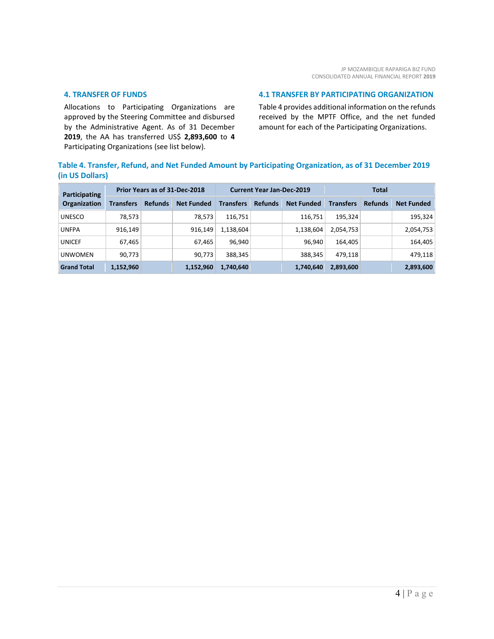#### **4. TRANSFER OF FUNDS**

Allocations to Participating Organizations are approved by the Steering Committee and disbursed by the Administrative Agent. As of 31 December **2019**, the AA has transferred US\$ **2,893,600** to **4** Participating Organizations (see list below).

#### **4.1 TRANSFER BY PARTICIPATING ORGANIZATION**

Table 4 provides additional information on the refunds received by the MPTF Office, and the net funded amount for each of the Participating Organizations.

### **Table 4. Transfer, Refund, and Net Funded Amount by Participating Organization, as of 31 December 2019 (in US Dollars)**

| <b>Participating</b><br><b>Organization</b> | Prior Years as of 31-Dec-2018 |                |                   | <b>Current Year Jan-Dec-2019</b> |                |                   | Total            |                |                   |
|---------------------------------------------|-------------------------------|----------------|-------------------|----------------------------------|----------------|-------------------|------------------|----------------|-------------------|
|                                             | <b>Transfers</b>              | <b>Refunds</b> | <b>Net Funded</b> | <b>Transfers</b>                 | <b>Refunds</b> | <b>Net Funded</b> | <b>Transfers</b> | <b>Refunds</b> | <b>Net Funded</b> |
| <b>UNESCO</b>                               | 78,573                        |                | 78,573            | 116,751                          |                | 116,751           | 195.324          |                | 195,324           |
| <b>UNFPA</b>                                | 916.149                       |                | 916,149           | 1,138,604                        |                | 1,138,604         | 2,054,753        |                | 2,054,753         |
| <b>UNICEF</b>                               | 67,465                        |                | 67,465            | 96,940                           |                | 96.940            | 164.405          |                | 164,405           |
| <b>UNWOMEN</b>                              | 90,773                        |                | 90.773            | 388,345                          |                | 388,345           | 479.118          |                | 479,118           |
| <b>Grand Total</b>                          | 1,152,960                     |                | 1,152,960         | 1,740,640                        |                | 1,740,640         | 2,893,600        |                | 2,893,600         |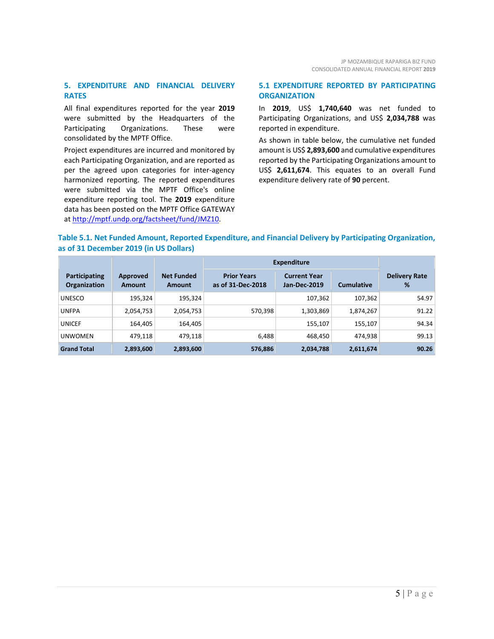#### **5. EXPENDITURE AND FINANCIAL DELIVERY RATES**

All final expenditures reported for the year **2019** were submitted by the Headquarters of the Participating Organizations. These were consolidated by the MPTF Office.

Project expenditures are incurred and monitored by each Participating Organization, and are reported as per the agreed upon categories for inter-agency harmonized reporting. The reported expenditures were submitted via the MPTF Office's online expenditure reporting tool. The **2019** expenditure data has been posted on the MPTF Office GATEWAY at [http://mptf.undp.org/factsheet/fund/JMZ10.](http://mptf.undp.org/factsheet/fund/JMZ10) 

#### **5.1 EXPENDITURE REPORTED BY PARTICIPATING ORGANIZATION**

In **2019**, US\$ **1,740,640** was net funded to Participating Organizations, and US\$ **2,034,788** was reported in expenditure.

As shown in table below, the cumulative net funded amount is US\$ **2,893,600** and cumulative expenditures reported by the Participating Organizations amount to US\$ **2,611,674**. This equates to an overall Fund expenditure delivery rate of **90** percent.

#### **Table 5.1. Net Funded Amount, Reported Expenditure, and Financial Delivery by Participating Organization, as of 31 December 2019 (in US Dollars)**

|                                      |                    |                             | <b>Expenditure</b>                      |                                     |                   |                           |
|--------------------------------------|--------------------|-----------------------------|-----------------------------------------|-------------------------------------|-------------------|---------------------------|
| Participating<br><b>Organization</b> | Approved<br>Amount | <b>Net Funded</b><br>Amount | <b>Prior Years</b><br>as of 31-Dec-2018 | <b>Current Year</b><br>Jan-Dec-2019 | <b>Cumulative</b> | <b>Delivery Rate</b><br>% |
| <b>UNESCO</b>                        | 195,324            | 195,324                     |                                         | 107,362                             | 107,362           | 54.97                     |
| <b>UNFPA</b>                         | 2,054,753          | 2,054,753                   | 570,398                                 | 1,303,869                           | 1,874,267         | 91.22                     |
| <b>UNICEF</b>                        | 164,405            | 164,405                     |                                         | 155,107                             | 155,107           | 94.34                     |
| <b>UNWOMEN</b>                       | 479,118            | 479,118                     | 6,488                                   | 468.450                             | 474.938           | 99.13                     |
| <b>Grand Total</b>                   | 2,893,600          | 2,893,600                   | 576,886                                 | 2,034,788                           | 2,611,674         | 90.26                     |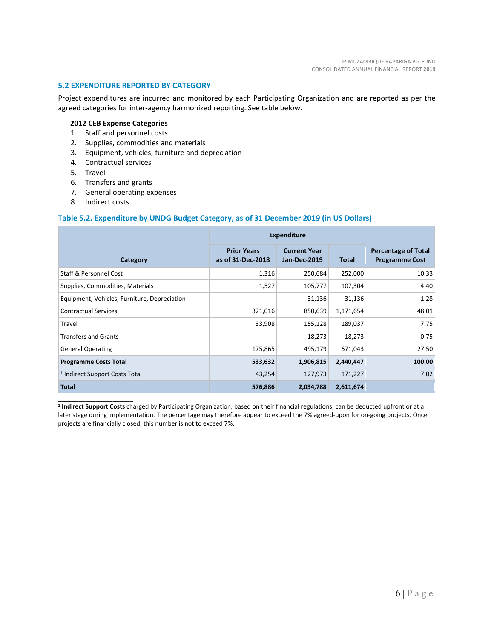#### **5.2 EXPENDITURE REPORTED BY CATEGORY**

Project expenditures are incurred and monitored by each Participating Organization and are reported as per the agreed categories for inter-agency harmonized reporting. See table below.

#### **2012 CEB Expense Categories**

- 1. Staff and personnel costs
- 2. Supplies, commodities and materials
- 3. Equipment, vehicles, furniture and depreciation
- 4. Contractual services
- 5. Travel
- 6. Transfers and grants
- 7. General operating expenses
- 8. Indirect costs

\_\_\_\_\_\_\_\_\_\_\_\_\_\_\_\_\_\_\_\_\_\_

#### **Table 5.2. Expenditure by UNDG Budget Category, as of 31 December 2019 (in US Dollars)**

|                                              | <b>Expenditure</b>                      |                                            |              |                                                     |
|----------------------------------------------|-----------------------------------------|--------------------------------------------|--------------|-----------------------------------------------------|
| Category                                     | <b>Prior Years</b><br>as of 31-Dec-2018 | <b>Current Year</b><br><b>Jan-Dec-2019</b> | <b>Total</b> | <b>Percentage of Total</b><br><b>Programme Cost</b> |
| Staff & Personnel Cost                       | 1,316                                   | 250,684                                    | 252,000      | 10.33                                               |
| Supplies, Commodities, Materials             | 1,527                                   | 105,777                                    | 107,304      | 4.40                                                |
| Equipment, Vehicles, Furniture, Depreciation |                                         | 31,136                                     | 31,136       | 1.28                                                |
| <b>Contractual Services</b>                  | 321,016                                 | 850,639                                    | 1,171,654    | 48.01                                               |
| Travel                                       | 33,908                                  | 155,128                                    | 189,037      | 7.75                                                |
| <b>Transfers and Grants</b>                  |                                         | 18,273                                     | 18,273       | 0.75                                                |
| <b>General Operating</b>                     | 175,865                                 | 495,179                                    | 671,043      | 27.50                                               |
| <b>Programme Costs Total</b>                 | 533,632                                 | 1,906,815                                  | 2,440,447    | 100.00                                              |
| <sup>1</sup> Indirect Support Costs Total    | 43,254                                  | 127,973                                    | 171,227      | 7.02                                                |
| <b>Total</b>                                 | 576,886                                 | 2,034,788                                  | 2,611,674    |                                                     |

**<sup>1</sup> Indirect Support Costs** charged by Participating Organization, based on their financial regulations, can be deducted upfront or at a later stage during implementation. The percentage may therefore appear to exceed the 7% agreed-upon for on-going projects. Once projects are financially closed, this number is not to exceed 7%.